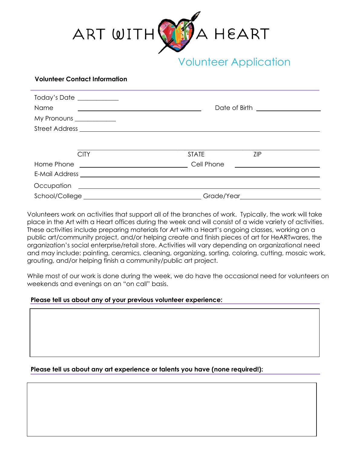

## **Volunteer Contact Information**

| Today's Date ___________<br><b>Name</b><br>My Pronouns ____________ |                                                   |              | Date of Birth ____________________         |  |
|---------------------------------------------------------------------|---------------------------------------------------|--------------|--------------------------------------------|--|
|                                                                     |                                                   |              |                                            |  |
|                                                                     |                                                   |              |                                            |  |
|                                                                     | <b>CITY</b>                                       | <b>STATE</b> | <b>ZIP</b>                                 |  |
|                                                                     |                                                   | Cell Phone   | <u> 1989 - Andrea Maria Alemania e a c</u> |  |
|                                                                     |                                                   |              |                                            |  |
| Occupation                                                          | <u> 1989 - Andrea State Barbara, amerikan per</u> |              |                                            |  |
|                                                                     |                                                   |              | Grade/Year <b>Santa Contract Structure</b> |  |

Volunteers work on activities that support all of the branches of work. Typically, the work will take place in the Art with a Heart offices during the week and will consist of a wide variety of activities. These activities include preparing materials for Art with a Heart's ongoing classes, working on a public art/community project, and/or helping create and finish pieces of art for HeARTwares, the organization's social enterprise/retail store. Activities will vary depending on organizational need and may include: painting, ceramics, cleaning, organizing, sorting, coloring, cutting, mosaic work, grouting, and/or helping finish a community/public art project.

While most of our work is done during the week, we do have the occasional need for volunteers on weekends and evenings on an "on call" basis.

# **Please tell us about any of your previous volunteer experience:**

# **Please tell us about any art experience or talents you have (none required!):**